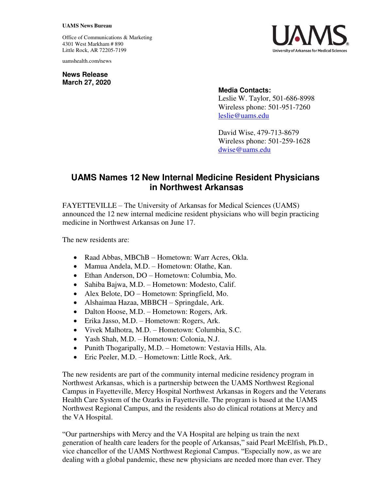## **UAMS News Bureau**

Office of Communications & Marketing 4301 West Markham # 890 Little Rock, AR 72205-7199

uamshealth.com/news

**News Release March 27, 2020**



## **Media Contacts:**

Leslie W. Taylor, 501-686-8998 Wireless phone: 501-951-7260 [leslie@uams.edu](mailto:leslie@uams.edu)

David Wise, 479-713-8679 Wireless phone: 501-259-1628 [dwise@uams.edu](mailto:dwise@uams.edu)

## **UAMS Names 12 New Internal Medicine Resident Physicians in Northwest Arkansas**

FAYETTEVILLE – The University of Arkansas for Medical Sciences (UAMS) announced the 12 new internal medicine resident physicians who will begin practicing medicine in Northwest Arkansas on June 17.

The new residents are:

- Raad Abbas, MBChB Hometown: Warr Acres, Okla.
- Mamua Andela, M.D. Hometown: Olathe, Kan.
- Ethan Anderson, DO Hometown: Columbia, Mo.
- Sahiba Bajwa, M.D. Hometown: Modesto, Calif.
- Alex Belote, DO Hometown: Springfield, Mo.
- Alshaimaa Hazaa, MBBCH Springdale, Ark.
- Dalton Hoose, M.D. Hometown: Rogers, Ark.
- Erika Jasso, M.D. Hometown: Rogers, Ark.
- Vivek Malhotra, M.D. Hometown: Columbia, S.C.
- Yash Shah, M.D. Hometown: Colonia, N.J.
- Punith Thogaripally, M.D. Hometown: Vestavia Hills, Ala.
- Eric Peeler, M.D. Hometown: Little Rock, Ark.

The new residents are part of the community internal medicine residency program in Northwest Arkansas, which is a partnership between the UAMS Northwest Regional Campus in Fayetteville, Mercy Hospital Northwest Arkansas in Rogers and the Veterans Health Care System of the Ozarks in Fayetteville. The program is based at the UAMS Northwest Regional Campus, and the residents also do clinical rotations at Mercy and the VA Hospital.

"Our partnerships with Mercy and the VA Hospital are helping us train the next generation of health care leaders for the people of Arkansas," said Pearl McElfish, Ph.D., vice chancellor of the UAMS Northwest Regional Campus. "Especially now, as we are dealing with a global pandemic, these new physicians are needed more than ever. They